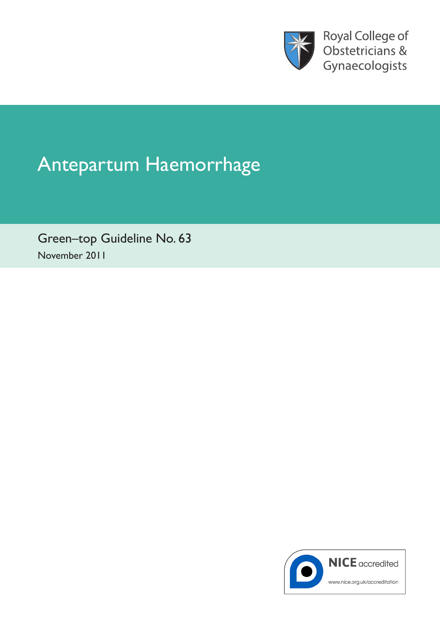

Royal College of Obstetricians & Gynaecologists

# Antepartum Haemorrhage

Green–top Guideline No. 63 November 2011

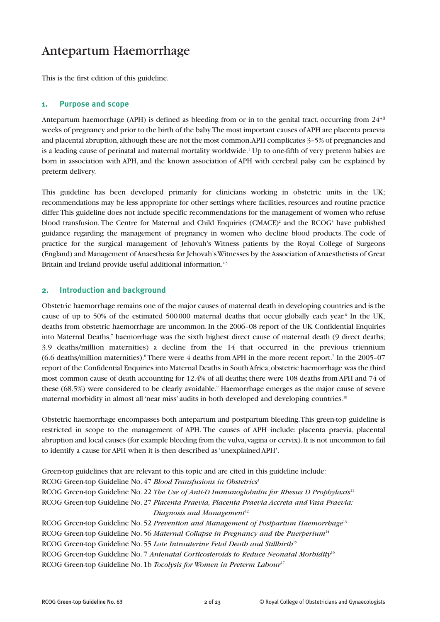# Antepartum Haemorrhage

This is the first edition of this guideline.

#### **1. Purpose and scope**

Antepartum haemorrhage (APH) is defined as bleeding from or in to the genital tract, occurring from  $24^{+0}$ weeks of pregnancy and prior to the birth of the baby. The most important causes of APH are placenta praevia and placental abruption, although these are not the most common. APH complicates 3–5% of pregnancies and is a leading cause of perinatal and maternal mortality worldwide.<sup>1</sup> Up to one-fifth of very preterm babies are born in association with APH, and the known association of APH with cerebral palsy can be explained by preterm delivery.

This guideline has been developed primarily for clinicians working in obstetric units in the UK; recommendations may be less appropriate for other settings where facilities, resources and routine practice differ. This guideline does not include specific recommendations for the management of women who refuse blood transfusion. The Centre for Maternal and Child Enquiries (CMACE)<sup>2</sup> and the RCOG<sup>3</sup> have published guidance regarding the management of pregnancy in women who decline blood products. The code of practice for the surgical management of Jehovah's Witness patients by the Royal College of Surgeons (England) and Management of Anaesthesia for Jehovah's Witnesses by the Association of Anaesthetists of Great Britain and Ireland provide useful additional information.<sup>4,5</sup>

#### **2. Introduction and background**

Obstetric haemorrhage remains one of the major causes of maternal death in developing countries and is the cause of up to 50% of the estimated 500000 maternal deaths that occur globally each year.<sup>6</sup> In the UK, deaths from obstetric haemorrhage are uncommon. In the 2006–08 report of the UK Confidential Enquiries into Maternal Deaths,<sup>7</sup> haemorrhage was the sixth highest direct cause of maternal death (9 direct deaths; 3.9 deaths/million maternities) a decline from the 14 that occurred in the previous triennium (6.6 deaths/million maternities).8 There were 4 deaths from APH in the more recent report.7 In the 2005–07 report of the Confidential Enquiries into Maternal Deaths in South Africa, obstetric haemorrhage was the third most common cause of death accounting for 12.4% of all deaths; there were 108 deaths from APH and 74 of these (68.5%) were considered to be clearly avoidable.<sup>9</sup> Haemorrhage emerges as the major cause of severe maternal morbidity in almost all 'near miss' audits in both developed and developing countries.<sup>10</sup>

Obstetric haemorrhage encompasses both antepartum and postpartum bleeding. This green-top guideline is restricted in scope to the management of APH. The causes of APH include: placenta praevia, placental abruption and local causes (for example bleeding from the vulva, vagina or cervix). It is not uncommon to fail to identify a cause for APH when it is then described as 'unexplained APH'.

Green-top guidelines that are relevant to this topic and are cited in this guideline include: RCOG Green-top Guideline No. 47 *Blood Transfusions in Obstetrics*<sup>3</sup> RCOG Green-top Guideline No. 22 *The Use of Anti-D Immunoglobulin for Rhesus D Prophylaxis*<sup>11</sup> RCOG Green-top Guideline No. 27 *Placenta Praevia, Placenta Praevia Accreta and Vasa Praevia: Diagnosis and Management*<sup>12</sup> RCOG Green-top Guideline No. 52 *Prevention and Management of Postpartum Haemorrhage*<sup>13</sup> RCOG Green-top Guideline No. 56 *Maternal Collapse in Pregnancy and the Puerperium*<sup>14</sup> RCOG Green-top Guideline No. 55 *Late Intrauterine Fetal Death and Stillbirth*<sup>15</sup> RCOG Green-top Guideline No. 7 *Antenatal Corticosteroids to Reduce Neonatal Morbidity*<sup>16</sup> RCOG Green-top Guideline No. 1b *Tocolysis for Women in Preterm Labour*<sup>17</sup>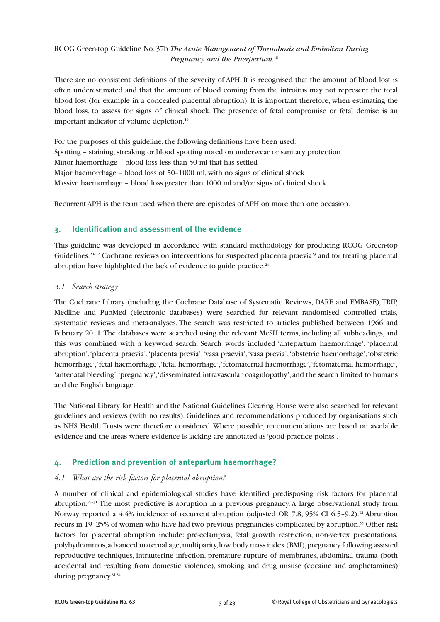### RCOG Green-top Guideline No. 37b *The Acute Management of Thrombosis and Embolism During Pregnancy and the Puerperium.*<sup>18</sup>

There are no consistent definitions of the severity of APH. It is recognised that the amount of blood lost is often underestimated and that the amount of blood coming from the introitus may not represent the total blood lost (for example in a concealed placental abruption). It is important therefore, when estimating the blood loss, to assess for signs of clinical shock. The presence of fetal compromise or fetal demise is an important indicator of volume depletion.<sup>19</sup>

For the purposes of this guideline, the following definitions have been used: Spotting – staining, streaking or blood spotting noted on underwear or sanitary protection Minor haemorrhage – blood loss less than 50 ml that has settled Major haemorrhage – blood loss of 50–1000 ml, with no signs of clinical shock Massive haemorrhage – blood loss greater than 1000 ml and/or signs of clinical shock.

Recurrent APH is the term used when there are episodes of APH on more than one occasion.

# **3. Identification and assessment of the evidence**

This guideline was developed in accordance with standard methodology for producing RCOG Green-top Guidelines.<sup>20–22</sup> Cochrane reviews on interventions for suspected placenta praevia<sup>23</sup> and for treating placental abruption have highlighted the lack of evidence to guide practice.<sup>24</sup>

#### *3.1 Search strategy*

The Cochrane Library (including the Cochrane Database of Systematic Reviews, DARE and EMBASE), TRIP, Medline and PubMed (electronic databases) were searched for relevant randomised controlled trials, systematic reviews and meta-analyses. The search was restricted to articles published between 1966 and February 2011. The databases were searched using the relevant MeSH terms, including all subheadings, and this was combined with a keyword search. Search words included 'antepartum haemorrhage', 'placental abruption', 'placenta praevia', 'placenta previa', 'vasa praevia', 'vasa previa', 'obstetric haemorrhage', 'obstetric hemorrhage', 'fetal haemorrhage', 'fetal hemorrhage', 'fetomaternal haemorrhage', 'fetomaternal hemorrhage', 'antenatal bleeding', 'pregnancy', 'disseminated intravascular coagulopathy', and the search limited to humans and the English language.

The National Library for Health and the National Guidelines Clearing House were also searched for relevant guidelines and reviews (with no results). Guidelines and recommendations produced by organisations such as NHS Health Trusts were therefore considered. Where possible, recommendations are based on available evidence and the areas where evidence is lacking are annotated as 'good practice points'.

# **4. Prediction and prevention of antepartum haemorrhage?**

#### *4.1 What are the risk factors for placental abruption?*

A number of clinical and epidemiological studies have identified predisposing risk factors for placental abruption.25–31 The most predictive is abruption in a previous pregnancy. A large observational study from Norway reported a  $4.4\%$  incidence of recurrent abruption (adjusted OR 7.8, 95% CI 6.5–9.2).<sup>32</sup> Abruption recurs in 19–25% of women who have had two previous pregnancies complicated by abruption.33 Other risk factors for placental abruption include: pre-eclampsia, fetal growth restriction, non-vertex presentations, polyhydramnios, advanced maternal age, multiparity, low body mass index (BMI), pregnancy following assisted reproductive techniques, intrauterine infection, premature rupture of membranes, abdominal trauma (both accidental and resulting from domestic violence), smoking and drug misuse (cocaine and amphetamines) during pregnancy.<sup>31,34</sup>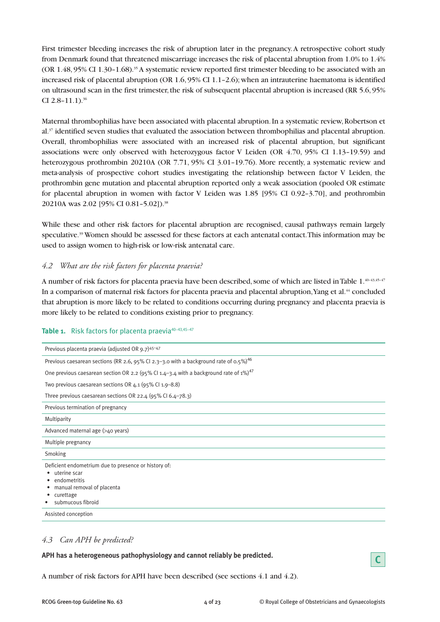First trimester bleeding increases the risk of abruption later in the pregnancy. A retrospective cohort study from Denmark found that threatened miscarriage increases the risk of placental abruption from 1.0% to 1.4% (OR 1.48, 95% CI 1.30–1.68).35 A systematic review reported first trimester bleeding to be associated with an increased risk of placental abruption (OR 1.6, 95% CI 1.1–2.6); when an intrauterine haematoma is identified on ultrasound scan in the first trimester, the risk of subsequent placental abruption is increased (RR 5.6, 95% CI  $2.8 - 11.1$ ).<sup>36</sup>

Maternal thrombophilias have been associated with placental abruption. In a systematic review, Robertson et al.37 identified seven studies that evaluated the association between thrombophilias and placental abruption. Overall, thrombophilias were associated with an increased risk of placental abruption, but significant associations were only observed with heterozygous factor V Leiden (OR 4.70, 95% CI 1.13–19.59) and heterozygous prothrombin 20210A (OR 7.71, 95% CI 3.01-19.76). More recently, a systematic review and meta-analysis of prospective cohort studies investigating the relationship between factor V Leiden, the prothrombin gene mutation and placental abruption reported only a weak association (pooled OR estimate for placental abruption in women with factor V Leiden was 1.85 [95% CI 0.92–3.70], and prothrombin 20210A was 2.02 [95% CI 0.81-5.02]).<sup>38</sup>

While these and other risk factors for placental abruption are recognised, causal pathways remain largely speculative.<sup>39</sup> Women should be assessed for these factors at each antenatal contact. This information may be used to assign women to high-risk or low-risk antenatal care.

#### *4.2 What are the risk factors for placenta praevia?*

A number of risk factors for placenta praevia have been described, some of which are listed in Table 1.40–43,45–47 In a comparison of maternal risk factors for placenta praevia and placental abruption, Yang et al.44 concluded that abruption is more likely to be related to conditions occurring during pregnancy and placenta praevia is more likely to be related to conditions existing prior to pregnancy.

#### Table 1. Risk factors for placenta praevia<sup>40-43,45-47</sup>

| Previous placenta praevia (adjusted OR 9.7)45-47                                                                                                          |
|-----------------------------------------------------------------------------------------------------------------------------------------------------------|
| Previous caesarean sections (RR 2.6, 95% CI 2.3-3.0 with a background rate of 0.5%) <sup>46</sup>                                                         |
| One previous caesarean section OR 2.2 (95% CI 1.4–3.4 with a background rate of 1%) <sup>47</sup>                                                         |
| Two previous caesarean sections OR $4.1$ (95% Cl $1.9 - 8.8$ )                                                                                            |
| Three previous caesarean sections OR 22.4 $(95\%$ Cl 6.4-78.3)                                                                                            |
| Previous termination of pregnancy                                                                                                                         |
| Multiparity                                                                                                                                               |
| Advanced maternal age (>40 years)                                                                                                                         |
| Multiple pregnancy                                                                                                                                        |
| Smoking                                                                                                                                                   |
| Deficient endometrium due to presence or history of:<br>uterine scar<br>٠<br>endometritis<br>manual removal of placenta<br>curettage<br>submucous fibroid |
| Assisted conception                                                                                                                                       |

#### *4.3 Can APH be predicted?*

**APH has a heterogeneous pathophysiology and cannot reliably be predicted.**



A number of risk factors for APH have been described (see sections 4.1 and 4.2).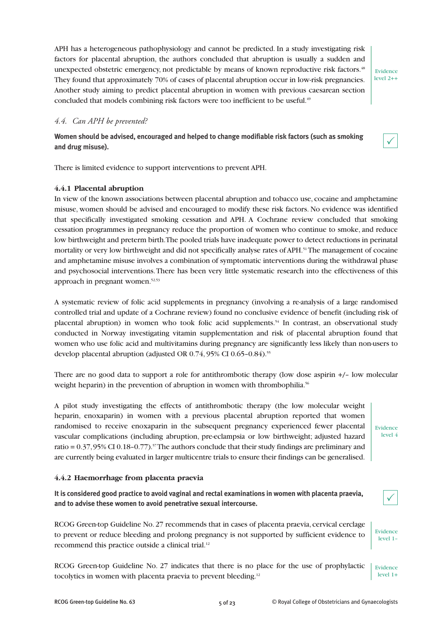APH has a heterogeneous pathophysiology and cannot be predicted. In a study investigating risk factors for placental abruption, the authors concluded that abruption is usually a sudden and unexpected obstetric emergency, not predictable by means of known reproductive risk factors.<sup>48</sup> They found that approximately 70% of cases of placental abruption occur in low-risk pregnancies. Another study aiming to predict placental abruption in women with previous caesarean section concluded that models combining risk factors were too inefficient to be useful.<sup>49</sup>

Evidence level 2++

#### *4.4. Can APH be prevented?*

**Women should be advised, encouraged and helped to change modifiable risk factors (such as smoking and drug misuse).**

 $\checkmark$ 

There is limited evidence to support interventions to prevent APH.

#### **4.4.1 Placental abruption**

In view of the known associations between placental abruption and tobacco use, cocaine and amphetamine misuse, women should be advised and encouraged to modify these risk factors. No evidence was identified that specifically investigated smoking cessation and APH. A Cochrane review concluded that smoking cessation programmes in pregnancy reduce the proportion of women who continue to smoke, and reduce low birthweight and preterm birth. The pooled trials have inadequate power to detect reductions in perinatal mortality or very low birthweight and did not specifically analyse rates of APH.<sup>51</sup>The management of cocaine and amphetamine misuse involves a combination of symptomatic interventions during the withdrawal phase and psychosocial interventions. There has been very little systematic research into the effectiveness of this approach in pregnant women.<sup>52,53</sup>

A systematic review of folic acid supplements in pregnancy (involving a re-analysis of a large randomised controlled trial and update of a Cochrane review) found no conclusive evidence of benefit (including risk of placental abruption) in women who took folic acid supplements.54 In contrast, an observational study conducted in Norway investigating vitamin supplementation and risk of placental abruption found that women who use folic acid and multivitamins during pregnancy are significantly less likely than non-users to develop placental abruption (adjusted OR 0.74, 95% CI 0.65-0.84).<sup>55</sup>

There are no good data to support a role for antithrombotic therapy (low dose aspirin +/– low molecular weight heparin) in the prevention of abruption in women with thrombophilia.<sup>56</sup>

A pilot study investigating the effects of antithrombotic therapy (the low molecular weight heparin, enoxaparin) in women with a previous placental abruption reported that women randomised to receive enoxaparin in the subsequent pregnancy experienced fewer placental vascular complications (including abruption, pre-eclampsia or low birthweight; adjusted hazard ratio =  $0.37,95\%$  CI  $0.18$ - $0.77$ ).<sup>57</sup>The authors conclude that their study findings are preliminary and are currently being evaluated in larger multicentre trials to ensure their findings can be generalised.

Evidence level 4

Evidence level 1–

 $\checkmark$ 

#### **4.4.2 Haemorrhage from placenta praevia**

**It is considered good practice to avoid vaginal and rectal examinations in women with placenta praevia, and to advise these women to avoid penetrative sexual intercourse.**

RCOG Green-top Guideline No. 27 recommends that in cases of placenta praevia, cervical cerclage to prevent or reduce bleeding and prolong pregnancy is not supported by sufficient evidence to recommend this practice outside a clinical trial.<sup>12</sup>

RCOG Green-top Guideline No. 27 indicates that there is no place for the use of prophylactic tocolytics in women with placenta praevia to prevent bleeding.<sup>12</sup> Evidence level 1+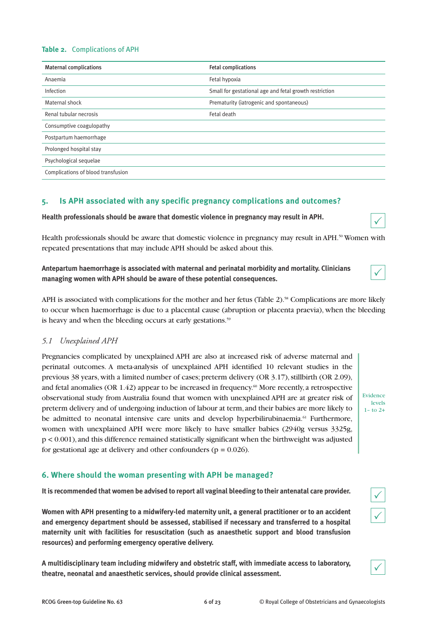#### **Table 2.** Complications of APH

| <b>Maternal complications</b>      | <b>Fetal complications</b>                             |
|------------------------------------|--------------------------------------------------------|
| Anaemia                            | Fetal hypoxia                                          |
| Infection                          | Small for gestational age and fetal growth restriction |
| Maternal shock                     | Prematurity (iatrogenic and spontaneous)               |
| Renal tubular necrosis             | Fetal death                                            |
| Consumptive coagulopathy           |                                                        |
| Postpartum haemorrhage             |                                                        |
| Prolonged hospital stay            |                                                        |
| Psychological sequelae             |                                                        |
| Complications of blood transfusion |                                                        |

# **5. Is APH associated with any specific pregnancy complications and outcomes?**

**Health professionals should be aware that domestic violence in pregnancy may result in APH.**

Health professionals should be aware that domestic violence in pregnancy may result in APH.<sup>50</sup> Women with repeated presentations that may include APH should be asked about this.

**Antepartum haemorrhage is associated with maternal and perinatal morbidity and mortality. Clinicians managing women with APH should be aware of these potential consequences.**

APH is associated with complications for the mother and her fetus (Table 2).<sup>58</sup> Complications are more likely to occur when haemorrhage is due to a placental cause (abruption or placenta praevia), when the bleeding is heavy and when the bleeding occurs at early gestations.<sup>59</sup>

#### *5.1 Unexplained APH*

Pregnancies complicated by unexplained APH are also at increased risk of adverse maternal and perinatal outcomes. A meta-analysis of unexplained APH identified 10 relevant studies in the previous 38 years, with a limited number of cases; preterm delivery (OR 3.17), stillbirth (OR 2.09), and fetal anomalies (OR  $1.42$ ) appear to be increased in frequency.<sup>60</sup> More recently, a retrospective observational study from Australia found that women with unexplained APH are at greater risk of preterm delivery and of undergoing induction of labour at term, and their babies are more likely to be admitted to neonatal intensive care units and develop hyperbilirubinaemia.<sup>61</sup> Furthermore, women with unexplained APH were more likely to have smaller babies (2940g versus 3325g, p < 0.001), and this difference remained statistically significant when the birthweight was adjusted for gestational age at delivery and other confounders ( $p = 0.026$ ).

# **6. Where should the woman presenting with APH be managed?**

**It is recommended that women be advised to report all vaginal bleeding to their antenatal care provider.**

**Women with APH presenting to a midwifery-led maternity unit, a general practitioner or to an accident and emergency department should be assessed, stabilised if necessary and transferred to a hospital maternity unit with facilities for resuscitation (such as anaesthetic support and blood transfusion resources) and performing emergency operative delivery.**

**A multidisciplinary team including midwifery and obstetric staff, with immediate access to laboratory, theatre, neonatal and anaesthetic services, should provide clinical assessment.**



 $\checkmark$ 

Evidence levels  $1 -$  to  $2+$ 

 $\checkmark$ 

 $\checkmark$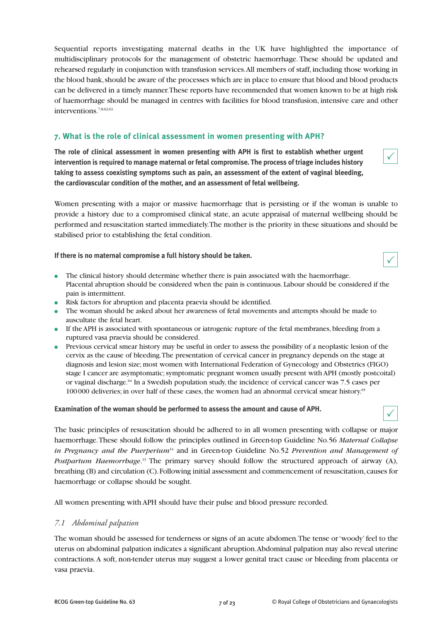Sequential reports investigating maternal deaths in the UK have highlighted the importance of multidisciplinary protocols for the management of obstetric haemorrhage. These should be updated and rehearsed regularly in conjunction with transfusion services. All members of staff, including those working in the blood bank, should be aware of the processes which are in place to ensure that blood and blood products can be delivered in a timely manner. These reports have recommended that women known to be at high risk of haemorrhage should be managed in centres with facilities for blood transfusion, intensive care and other interventions.7,8,62,63

# **7. What is the role of clinical assessment in women presenting with APH?**

**The role of clinical assessment in women presenting with APH is first to establish whether urgent intervention is required to manage maternal or fetal compromise. The process of triage includes history taking to assess coexisting symptoms such as pain, an assessment of the extent of vaginal bleeding, the cardiovascular condition of the mother, and an assessment of fetal wellbeing.**

Women presenting with a major or massive haemorrhage that is persisting or if the woman is unable to provide a history due to a compromised clinical state, an acute appraisal of maternal wellbeing should be performed and resuscitation started immediately. The mother is the priority in these situations and should be stabilised prior to establishing the fetal condition.

**If there is no maternal compromise a full history should be taken.**

- The clinical history should determine whether there is pain associated with the haemorrhage. Placental abruption should be considered when the pain is continuous. Labour should be considered if the pain is intermittent.
- Risk factors for abruption and placenta praevia should be identified.
- The woman should be asked about her awareness of fetal movements and attempts should be made to auscultate the fetal heart.
- If the APH is associated with spontaneous or iatrogenic rupture of the fetal membranes, bleeding from a ruptured vasa praevia should be considered.
- Previous cervical smear history may be useful in order to assess the possibility of a neoplastic lesion of the cervix as the cause of bleeding. The presentation of cervical cancer in pregnancy depends on the stage at diagnosis and lesion size; most women with International Federation of Gynecology and Obstetrics (FIGO) stage I cancer are asymptomatic; symptomatic pregnant women usually present with APH (mostly postcoital) or vaginal discharge.<sup>64</sup> In a Swedish population study, the incidence of cervical cancer was 7.5 cases per 100 000 deliveries; in over half of these cases, the women had an abnormal cervical smear history.65

#### **Examination of the woman should be performed to assess the amount and cause of APH.**

The basic principles of resuscitation should be adhered to in all women presenting with collapse or major haemorrhage. These should follow the principles outlined in Green-top Guideline No.56 *Maternal Collapse in Pregnancy and the Puerperium*<sup>14</sup> and in Green-top Guideline No.52 *Prevention and Management of Postpartum Haemorrhage*. <sup>13</sup> The primary survey should follow the structured approach of airway (A), breathing (B) and circulation (C). Following initial assessment and commencement of resuscitation, causes for haemorrhage or collapse should be sought.

All women presenting with APH should have their pulse and blood pressure recorded.

#### *7.1 Abdominal palpation*

The woman should be assessed for tenderness or signs of an acute abdomen. The tense or 'woody' feel to the uterus on abdominal palpation indicates a significant abruption. Abdominal palpation may also reveal uterine contractions. A soft, non-tender uterus may suggest a lower genital tract cause or bleeding from placenta or vasa praevia.

 $\checkmark$ 

 $\checkmark$ 

 $\checkmark$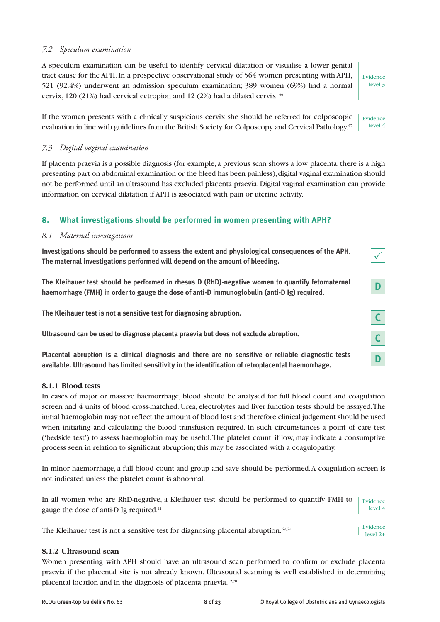#### *7.2 Speculum examination*

A speculum examination can be useful to identify cervical dilatation or visualise a lower genital tract cause for the APH. In a prospective observational study of 564 women presenting with APH, 521 (92.4%) underwent an admission speculum examination; 389 women (69%) had a normal cervix, 120 (21%) had cervical ectropion and 12 (2%) had a dilated cervix. <sup>66</sup>

Evidence level 3

 $\checkmark$ 

**C**

**C**

**D**

**D**

If the woman presents with a clinically suspicious cervix she should be referred for colposcopic evaluation in line with guidelines from the British Society for Colposcopy and Cervical Pathology.<sup>67</sup> Evidence level 4

#### *7.3 Digital vaginal examination*

If placenta praevia is a possible diagnosis (for example, a previous scan shows a low placenta, there is a high presenting part on abdominal examination or the bleed has been painless), digital vaginal examination should not be performed until an ultrasound has excluded placenta praevia. Digital vaginal examination can provide information on cervical dilatation if APH is associated with pain or uterine activity.

# **8. What investigations should be performed in women presenting with APH?**

#### *8.1 Maternal investigations*

**Investigations should be performed to assess the extent and physiological consequences of the APH. The maternal investigations performed will depend on the amount of bleeding.**

**The Kleihauer test should be performed in rhesus D (RhD)-negative women to quantify fetomaternal haemorrhage (FMH) in order to gauge the dose of anti-D immunoglobulin (anti-D Ig) required.**

**The Kleihauer test is not a sensitive test for diagnosing abruption.**

**Ultrasound can be used to diagnose placenta praevia but does not exclude abruption.**

**Placental abruption is a clinical diagnosis and there are no sensitive or reliable diagnostic tests available. Ultrasound has limited sensitivity in the identification of retroplacental haemorrhage.**

#### **8.1.1 Blood tests**

In cases of major or massive haemorrhage, blood should be analysed for full blood count and coagulation screen and 4 units of blood cross-matched. Urea, electrolytes and liver function tests should be assayed. The initial haemoglobin may not reflect the amount of blood lost and therefore clinical judgement should be used when initiating and calculating the blood transfusion required. In such circumstances a point of care test ('bedside test') to assess haemoglobin may be useful. The platelet count, if low, may indicate a consumptive process seen in relation to significant abruption; this may be associated with a coagulopathy.

In minor haemorrhage, a full blood count and group and save should be performed. A coagulation screen is not indicated unless the platelet count is abnormal.

In all women who are RhD-negative, a Kleihauer test should be performed to quantify FMH to gauge the dose of anti-D Ig required.11 Evidence level 4

The Kleihauer test is not a sensitive test for diagnosing placental abruption. $68,69$ Evidence level 2+

#### **8.1.2 Ultrasound scan**

Women presenting with APH should have an ultrasound scan performed to confirm or exclude placenta praevia if the placental site is not already known. Ultrasound scanning is well established in determining placental location and in the diagnosis of placenta praevia.12,70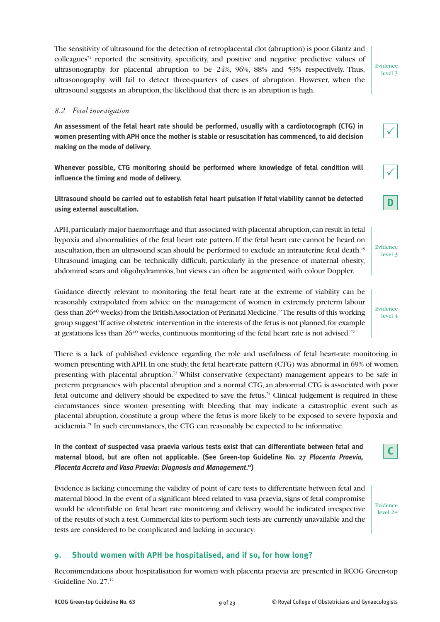The sensitivity of ultrasound for the detection of retroplacental clot (abruption) is poor. Glantz and colleagues71 reported the sensitivity, specificity, and positive and negative predictive values of ultrasonography for placental abruption to be 24%, 96%, 88% and 53% respectively. Thus, ultrasonography will fail to detect three-quarters of cases of abruption. However, when the ultrasound suggests an abruption, the likelihood that there is an abruption is high.

#### *8.2 Fetal investigation*

**An assessment of the fetal heart rate should be performed, usually with a cardiotocograph (CTG) in women presenting with APH once the mother is stable or resuscitation has commenced, to aid decision making on the mode of delivery.**

**Whenever possible, CTG monitoring should be performed where knowledge of fetal condition will influence the timing and mode of delivery.**

**Ultrasound should be carried out to establish fetal heart pulsation if fetal viability cannot be detected using external auscultation.**

APH, particularly major haemorrhage and that associated with placental abruption, can result in fetal hypoxia and abnormalities of the fetal heart rate pattern. If the fetal heart rate cannot be heard on auscultation, then an ultrasound scan should be performed to exclude an intrauterine fetal death.15 Ultrasound imaging can be technically difficult, particularly in the presence of maternal obesity, abdominal scars and oligohydramnios, but views can often be augmented with colour Doppler.

Guidance directly relevant to monitoring the fetal heart rate at the extreme of viability can be reasonably extrapolated from advice on the management of women in extremely preterm labour (less than 26+0 weeks) from the British Association of Perinatal Medicine.72The results of this working group suggest 'If active obstetric intervention in the interests of the fetus is not planned, for example at gestations less than 26+0 weeks, continuous monitoring of the fetal heart rate is not advised.'72

There is a lack of published evidence regarding the role and usefulness of fetal heart-rate monitoring in women presenting with APH. In one study, the fetal heart-rate pattern (CTG) was abnormal in 69% of women presenting with placental abruption.<sup>73</sup> Whilst conservative (expectant) management appears to be safe in preterm pregnancies with placental abruption and a normal CTG, an abnormal CTG is associated with poor fetal outcome and delivery should be expedited to save the fetus.74 Clinical judgement is required in these circumstances since women presenting with bleeding that may indicate a catastrophic event such as placental abruption, constitute a group where the fetus is more likely to be exposed to severe hypoxia and acidaemia.75 In such circumstances, the CTG can reasonably be expected to be informative.

**In the context of suspected vasa praevia various tests exist that can differentiate between fetal and maternal blood, but are often not applicable. (See Green-top Guideline No. 27** *Placenta Praevia, Placenta Accreta and Vasa Praevia: Diagnosis and Management***. 12)**

Evidence is lacking concerning the validity of point of care tests to differentiate between fetal and maternal blood. In the event of a significant bleed related to vasa praevia, signs of fetal compromise would be identifiable on fetal heart rate monitoring and delivery would be indicated irrespective of the results of such a test. Commercial kits to perform such tests are currently unavailable and the tests are considered to be complicated and lacking in accuracy.

# **9. Should women with APH be hospitalised, and if so, for how long?**

Recommendations about hospitalisation for women with placenta praevia are presented in RCOG Green-top Guideline No. 27.12





level 2+

Evidence level 3

**D**

 $\checkmark$ 

| Evidence |  |
|----------|--|
| level 4  |  |



Evidence level 3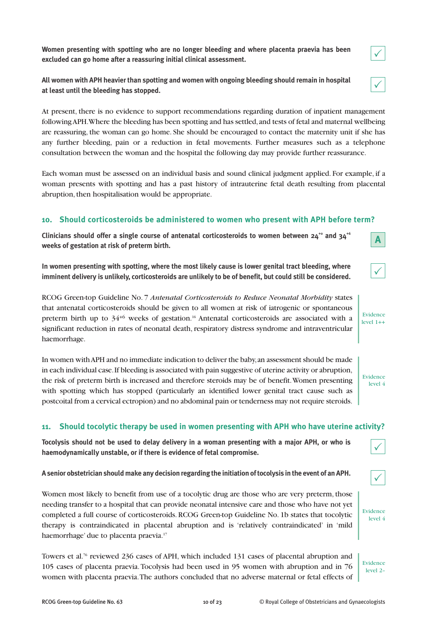**Women presenting with spotting who are no longer bleeding and where placenta praevia has been excluded can go home after a reassuring initial clinical assessment.**

**All women with APH heavier than spotting and women with ongoing bleeding should remain in hospital at least until the bleeding has stopped.**

At present, there is no evidence to support recommendations regarding duration of inpatient management following APH. Where the bleeding has been spotting and has settled, and tests of fetal and maternal wellbeing are reassuring, the woman can go home. She should be encouraged to contact the maternity unit if she has any further bleeding, pain or a reduction in fetal movements. Further measures such as a telephone consultation between the woman and the hospital the following day may provide further reassurance.

Each woman must be assessed on an individual basis and sound clinical judgment applied. For example, if a woman presents with spotting and has a past history of intrauterine fetal death resulting from placental abruption, then hospitalisation would be appropriate.

#### **10. Should corticosteroids be administered to women who present with APH before term?**

Clinicians should offer a single course of antenatal corticosteroids to women between  $24^{+6}$  and  $34^{+6}$ **weeks of gestation at risk of preterm birth.**

**In women presenting with spotting, where the most likely cause is lower genital tract bleeding, where imminent delivery is unlikely, corticosteroids are unlikely to be of benefit, but could still be considered.**

RCOG Green-top Guideline No. 7 *Antenatal Corticosteroids to Reduce Neonatal Morbidity* states that antenatal corticosteroids should be given to all women at risk of iatrogenic or spontaneous preterm birth up to  $34^{+6}$  weeks of gestation.<sup>16</sup> Antenatal corticosteroids are associated with a significant reduction in rates of neonatal death, respiratory distress syndrome and intraventricular haemorrhage.  $level 1++$ 

In women with APH and no immediate indication to deliver the baby, an assessment should be made in each individual case. If bleeding is associated with pain suggestive of uterine activity or abruption, the risk of preterm birth is increased and therefore steroids may be of benefit. Women presenting with spotting which has stopped (particularly an identified lower genital tract cause such as postcoital from a cervical ectropion) and no abdominal pain or tenderness may not require steroids.

#### **11. Should tocolytic therapy be used in women presenting with APH who have uterine activity?**

**Tocolysis should not be used to delay delivery in a woman presenting with a major APH, or who is haemodynamically unstable, or if there is evidence of fetal compromise.**

**A senior obstetrician should make any decision regarding the initiation of tocolysis in the event of an APH.**

Women most likely to benefit from use of a tocolytic drug are those who are very preterm, those needing transfer to a hospital that can provide neonatal intensive care and those who have not yet completed a full course of corticosteroids. RCOG Green-top Guideline No. 1b states that tocolytic therapy is contraindicated in placental abruption and is 'relatively contraindicated' in 'mild haemorrhage' due to placenta praevia.<sup>17</sup>

Towers et al.76 reviewed 236 cases of APH, which included 131 cases of placental abruption and 105 cases of placenta praevia. Tocolysis had been used in 95 women with abruption and in 76 women with placenta praevia. The authors concluded that no adverse maternal or fetal effects of



 $\checkmark$ 

**A**

 $\checkmark$ 

Evidence

Evidence level 4





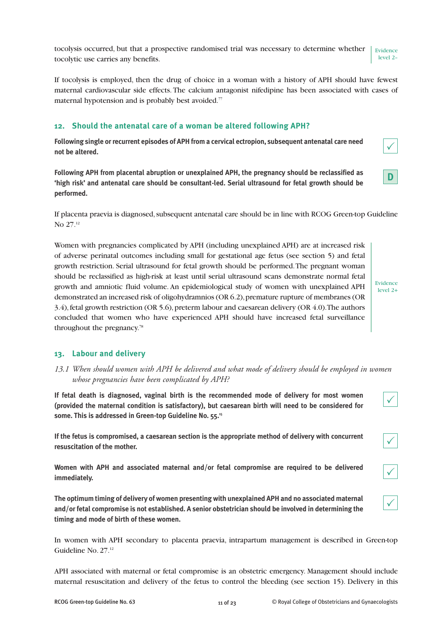tocolysis occurred, but that a prospective randomised trial was necessary to determine whether tocolytic use carries any benefits. Evidence level 2–

If tocolysis is employed, then the drug of choice in a woman with a history of APH should have fewest maternal cardiovascular side effects. The calcium antagonist nifedipine has been associated with cases of maternal hypotension and is probably best avoided. $77$ 

# **12. Should the antenatal care of a woman be altered following APH?**

**Following single or recurrent episodes of APH from a cervical ectropion, subsequent antenatal care need not be altered.**

**Following APH from placental abruption or unexplained APH, the pregnancy should be reclassified as 'high risk' and antenatal care should be consultant-led. Serial ultrasound for fetal growth should be performed.**

If placenta praevia is diagnosed, subsequent antenatal care should be in line with RCOG Green-top Guideline No 27<sup>12</sup>

Women with pregnancies complicated by APH (including unexplained APH) are at increased risk of adverse perinatal outcomes including small for gestational age fetus (see section 5) and fetal growth restriction. Serial ultrasound for fetal growth should be performed. The pregnant woman should be reclassified as high-risk at least until serial ultrasound scans demonstrate normal fetal growth and amniotic fluid volume. An epidemiological study of women with unexplained APH demonstrated an increased risk of oligohydramnios (OR 6.2), premature rupture of membranes (OR 3.4), fetal growth restriction (OR 5.6), preterm labour and caesarean delivery (OR 4.0). The authors concluded that women who have experienced APH should have increased fetal surveillance throughout the pregnancy.<sup>78</sup>

**13. Labour and delivery**

*13.1 When should women with APH be delivered and what mode of delivery should be employed in women whose pregnancies have been complicated by APH?* 

**If fetal death is diagnosed, vaginal birth is the recommended mode of delivery for most women (provided the maternal condition is satisfactory), but caesarean birth will need to be considered for some. This is addressed in Green-top Guideline No. 55.15**

**If the fetus is compromised, a caesarean section is the appropriate method of delivery with concurrent resuscitation of the mother.**

**Women with APH and associated maternal and/or fetal compromise are required to be delivered immediately.**

**The optimum timing of delivery of women presenting with unexplained APH and no associated maternal and/or fetal compromise is not established. A senior obstetrician should be involved in determining the timing and mode of birth of these women.**

In women with APH secondary to placenta praevia, intrapartum management is described in Green-top Guideline No. 27.12

APH associated with maternal or fetal compromise is an obstetric emergency. Management should include maternal resuscitation and delivery of the fetus to control the bleeding (see section 15). Delivery in this

Evidence level 2+

**D**

|--|

 $\overline{\checkmark}$ 

 $\checkmark$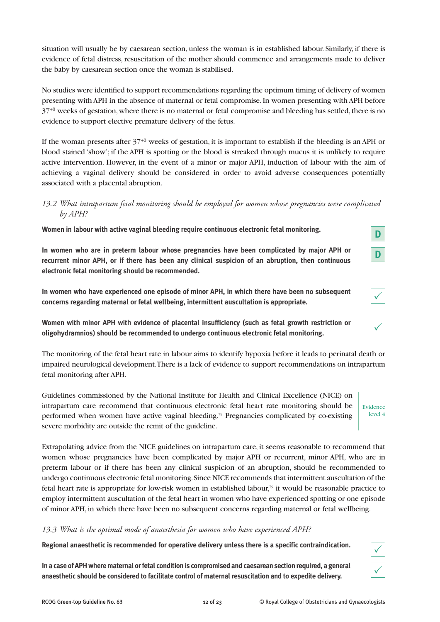situation will usually be by caesarean section, unless the woman is in established labour. Similarly, if there is evidence of fetal distress, resuscitation of the mother should commence and arrangements made to deliver the baby by caesarean section once the woman is stabilised.

No studies were identified to support recommendations regarding the optimum timing of delivery of women presenting with APH in the absence of maternal or fetal compromise. In women presenting with APH before 37+0 weeks of gestation, where there is no maternal or fetal compromise and bleeding has settled, there is no evidence to support elective premature delivery of the fetus.

If the woman presents after 37+0 weeks of gestation, it is important to establish if the bleeding is an APH or blood stained 'show'; if the APH is spotting or the blood is streaked through mucus it is unlikely to require active intervention. However, in the event of a minor or major APH, induction of labour with the aim of achieving a vaginal delivery should be considered in order to avoid adverse consequences potentially associated with a placental abruption.

# *13.2 What intrapartum fetal monitoring should be employed for women whose pregnancies were complicated by APH?*

**Women in labour with active vaginal bleeding require continuous electronic fetal monitoring.**

**In women who are in preterm labour whose pregnancies have been complicated by major APH or recurrent minor APH, or if there has been any clinical suspicion of an abruption, then continuous electronic fetal monitoring should be recommended.**

**In women who have experienced one episode of minor APH, in which there have been no subsequent concerns regarding maternal or fetal wellbeing, intermittent auscultation is appropriate.**

**Women with minor APH with evidence of placental insufficiency (such as fetal growth restriction or oligohydramnios) should be recommended to undergo continuous electronic fetal monitoring.**

The monitoring of the fetal heart rate in labour aims to identify hypoxia before it leads to perinatal death or impaired neurological development. There is a lack of evidence to support recommendations on intrapartum fetal monitoring after APH.

Guidelines commissioned by the National Institute for Health and Clinical Excellence (NICE) on intrapartum care recommend that continuous electronic fetal heart rate monitoring should be performed when women have active vaginal bleeding.<sup>79</sup> Pregnancies complicated by co-existing severe morbidity are outside the remit of the guideline.

Extrapolating advice from the NICE guidelines on intrapartum care, it seems reasonable to recommend that women whose pregnancies have been complicated by major APH or recurrent, minor APH, who are in preterm labour or if there has been any clinical suspicion of an abruption, should be recommended to undergo continuous electronic fetal monitoring. Since NICE recommends that intermittent auscultation of the fetal heart rate is appropriate for low-risk women in established labour,<sup>79</sup> it would be reasonable practice to employ intermittent auscultation of the fetal heart in women who have experienced spotting or one episode of minor APH, in which there have been no subsequent concerns regarding maternal or fetal wellbeing.

# *13.3 What is the optimal mode of anaesthesia for women who have experienced APH?*

**Regional anaesthetic is recommended for operative delivery unless there is a specific contraindication.**

**In a case of APH where maternal or fetal condition is compromised and caesarean section required, a general anaesthetic should be considered to facilitate control of maternal resuscitation and to expedite delivery.**

Evidence level 4

 $\checkmark$ 

**D**

**D**

 $\checkmark$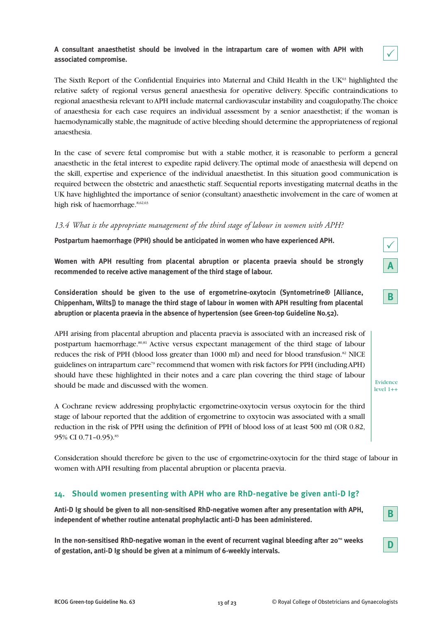#### **A consultant anaesthetist should be involved in the intrapartum care of women with APH with associated compromise.**



The Sixth Report of the Confidential Enquiries into Maternal and Child Health in the UK $\frac{63}{12}$  highlighted the relative safety of regional versus general anaesthesia for operative delivery. Specific contraindications to regional anaesthesia relevant to APH include maternal cardiovascular instability and coagulopathy. The choice of anaesthesia for each case requires an individual assessment by a senior anaesthetist; if the woman is haemodynamically stable, the magnitude of active bleeding should determine the appropriateness of regional anaesthesia.

In the case of severe fetal compromise but with a stable mother, it is reasonable to perform a general anaesthetic in the fetal interest to expedite rapid delivery. The optimal mode of anaesthesia will depend on the skill, expertise and experience of the individual anaesthetist. In this situation good communication is required between the obstetric and anaesthetic staff. Sequential reports investigating maternal deaths in the UK have highlighted the importance of senior (consultant) anaesthetic involvement in the care of women at high risk of haemorrhage.<sup>8,62,63</sup>

#### *13.4 What is the appropriate management of the third stage of labour in women with APH?*

**Postpartum haemorrhage (PPH) should be anticipated in women who have experienced APH.**

**Women with APH resulting from placental abruption or placenta praevia should be strongly recommended to receive active management of the third stage of labour.**

**Consideration should be given to the use of ergometrine-oxytocin (Syntometrine® [Alliance, Chippenham, Wilts]) to manage the third stage of labour in women with APH resulting from placental abruption or placenta praevia in the absence of hypertension (see Green-top Guideline No.52).**

APH arising from placental abruption and placenta praevia is associated with an increased risk of postpartum haemorrhage.<sup>80,81</sup> Active versus expectant management of the third stage of labour reduces the risk of PPH (blood loss greater than 1000 ml) and need for blood transfusion.<sup>82</sup> NICE guidelines on intrapartum care<sup>79</sup> recommend that women with risk factors for PPH (including APH) should have these highlighted in their notes and a care plan covering the third stage of labour should be made and discussed with the women.

A Cochrane review addressing prophylactic ergometrine-oxytocin versus oxytocin for the third stage of labour reported that the addition of ergometrine to oxytocin was associated with a small reduction in the risk of PPH using the definition of PPH of blood loss of at least 500 ml (OR 0.82, 95% CI 0.71-0.95).<sup>83</sup>

Consideration should therefore be given to the use of ergometrine-oxytocin for the third stage of labour in women with APH resulting from placental abruption or placenta praevia.

# **14. Should women presenting with APH who are RhD-negative be given anti-D Ig?**

**Anti-D Ig should be given to all non-sensitised RhD-negative women after any presentation with APH, independent of whether routine antenatal prophylactic anti-D has been administered.**

In the non-sensitised RhD-negative woman in the event of recurrent vaginal bleeding after 20<sup>+0</sup> weeks **of gestation, anti-D Ig should be given at a minimum of 6-weekly intervals.**



|--|

Evidence level 1++

**B**

**D**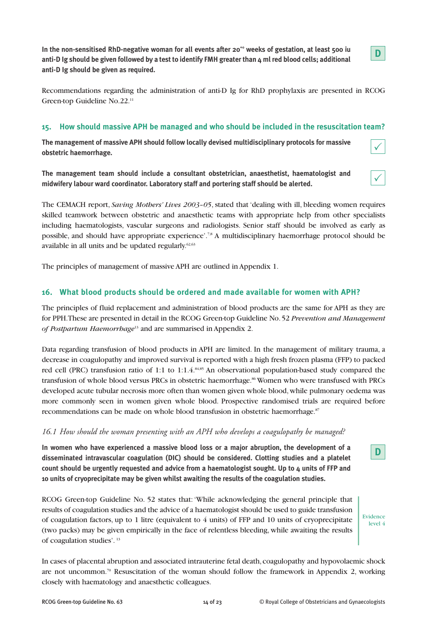In the non-sensitised RhD-negative woman for all events after 20<sup>+</sup> weeks of gestation, at least 500 iu **anti-D Ig should be given followed by a test to identify FMH greater than 4 ml red blood cells; additional anti-D Ig should be given as required.**



 $\checkmark$ 

 $\checkmark$ 

Recommendations regarding the administration of anti-D Ig for RhD prophylaxis are presented in RCOG Green-top Guideline No.22.11

#### **15. How should massive APH be managed and who should be included in the resuscitation team?**

**The management of massive APH should follow locally devised multidisciplinary protocols for massive obstetric haemorrhage.**

**The management team should include a consultant obstetrician, anaesthetist, haematologist and midwifery labour ward coordinator. Laboratory staff and portering staff should be alerted.**

The CEMACH report, *Saving Mothers' Lives 2003–05*, stated that 'dealing with ill, bleeding women requires skilled teamwork between obstetric and anaesthetic teams with appropriate help from other specialists including haematologists, vascular surgeons and radiologists. Senior staff should be involved as early as possible, and should have appropriate experience'.7,8 A multidisciplinary haemorrhage protocol should be available in all units and be updated regularly. $62,63$ 

The principles of management of massive APH are outlined in Appendix 1.

# **16. What blood products should be ordered and made available for women with APH?**

The principles of fluid replacement and administration of blood products are the same for APH as they are for PPH. These are presented in detail in the RCOG Green-top Guideline No. 52 *Prevention and Management of Postpartum Haemorrhage*<sup>13</sup> and are summarised in Appendix 2.

Data regarding transfusion of blood products in APH are limited. In the management of military trauma, a decrease in coagulopathy and improved survival is reported with a high fresh frozen plasma (FFP) to packed red cell (PRC) transfusion ratio of 1:1 to 1:1.4.84,85 An observational population-based study compared the transfusion of whole blood versus PRCs in obstetric haemorrhage.<sup>86</sup> Women who were transfused with PRCs developed acute tubular necrosis more often than women given whole blood, while pulmonary oedema was more commonly seen in women given whole blood. Prospective randomised trials are required before recommendations can be made on whole blood transfusion in obstetric haemorrhage.<sup>87</sup>

#### *16.1 How should the woman presenting with an APH who develops a coagulopathy be managed?*

**In women who have experienced a massive blood loss or a major abruption, the development of a disseminated intravascular coagulation (DIC) should be considered. Clotting studies and a platelet count should be urgently requested and advice from a haematologist sought. Up to 4 units of FFP and 10 units of cryoprecipitate may be given whilst awaiting the results of the coagulation studies.**

RCOG Green-top Guideline No. 52 states that: 'While acknowledging the general principle that results of coagulation studies and the advice of a haematologist should be used to guide transfusion of coagulation factors, up to 1 litre (equivalent to  $4$  units) of FFP and 10 units of cryoprecipitate (two packs) may be given empirically in the face of relentless bleeding, while awaiting the results of coagulation studies'. 13

Evidence level 4

**D**

In cases of placental abruption and associated intrauterine fetal death, coagulopathy and hypovolaemic shock are not uncommon.<sup>70</sup> Resuscitation of the woman should follow the framework in Appendix 2, working closely with haematology and anaesthetic colleagues.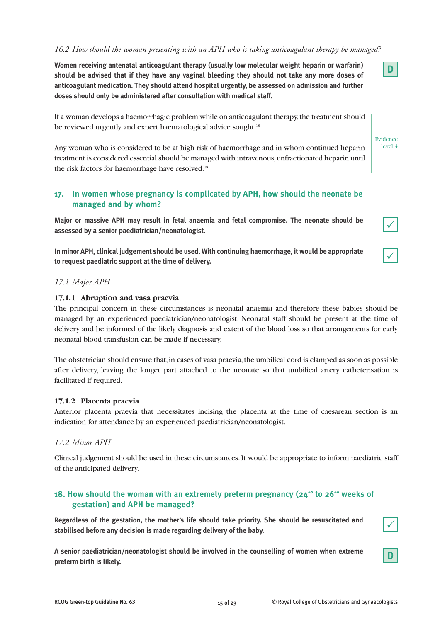#### *16.2 How should the woman presenting with an APH who is taking anticoagulant therapy be managed?*

**Women receiving antenatal anticoagulant therapy (usually low molecular weight heparin or warfarin) should be advised that if they have any vaginal bleeding they should not take any more doses of anticoagulant medication. They should attend hospital urgently, be assessed on admission and further doses should only be administered after consultation with medical staff.**

If a woman develops a haemorrhagic problem while on anticoagulant therapy, the treatment should be reviewed urgently and expert haematological advice sought.<sup>18</sup>

Any woman who is considered to be at high risk of haemorrhage and in whom continued heparin treatment is considered essential should be managed with intravenous, unfractionated heparin until the risk factors for haemorrhage have resolved.<sup>18</sup>

### **17. In women whose pregnancy is complicated by APH, how should the neonate be managed and by whom?**

**Major or massive APH may result in fetal anaemia and fetal compromise. The neonate should be assessed by a senior paediatrician/neonatologist.**

**In minor APH, clinical judgement should be used. With continuing haemorrhage, it would be appropriate to request paediatric support at the time of delivery.**

#### *17.1 Major APH*

#### **17.1.1 Abruption and vasa praevia**

The principal concern in these circumstances is neonatal anaemia and therefore these babies should be managed by an experienced paediatrician/neonatologist. Neonatal staff should be present at the time of delivery and be informed of the likely diagnosis and extent of the blood loss so that arrangements for early neonatal blood transfusion can be made if necessary.

The obstetrician should ensure that, in cases of vasa praevia, the umbilical cord is clamped as soon as possible after delivery, leaving the longer part attached to the neonate so that umbilical artery catheterisation is facilitated if required.

#### **17.1.2 Placenta praevia**

Anterior placenta praevia that necessitates incising the placenta at the time of caesarean section is an indication for attendance by an experienced paediatrician/neonatologist.

#### *17.2 Minor APH*

Clinical judgement should be used in these circumstances. It would be appropriate to inform paediatric staff of the anticipated delivery.

# **18. How should the woman with an extremely preterm pregnancy (24<sup>+o</sup> to 26<sup>+o</sup> weeks of gestation) and APH be managed?**

**Regardless of the gestation, the mother's life should take priority. She should be resuscitated and stabilised before any decision is made regarding delivery of the baby.**

**A senior paediatrician/neonatologist should be involved in the counselling of women when extreme preterm birth is likely.**



**D**

 $\checkmark$ 

 $\checkmark$ 

Evidence level 4

**D**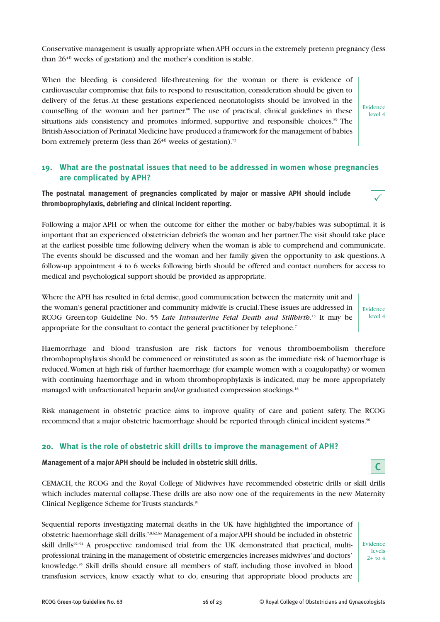Conservative management is usually appropriate when APH occurs in the extremely preterm pregnancy (less than 26+0 weeks of gestation) and the mother's condition is stable.

When the bleeding is considered life-threatening for the woman or there is evidence of cardiovascular compromise that fails to respond to resuscitation, consideration should be given to delivery of the fetus. At these gestations experienced neonatologists should be involved in the counselling of the woman and her partner.88 The use of practical, clinical guidelines in these situations aids consistency and promotes informed, supportive and responsible choices.<sup>89</sup> The British Association of Perinatal Medicine have produced a framework for the management of babies born extremely preterm (less than  $26^{+0}$  weeks of gestation).<sup>72</sup>

Evidence level 4

 $\checkmark$ 

Evidence level 4

# **19. What are the postnatal issues that need to be addressed in women whose pregnancies are complicated by APH?**

**The postnatal management of pregnancies complicated by major or massive APH should include thromboprophylaxis, debriefing and clinical incident reporting.**

Following a major APH or when the outcome for either the mother or baby/babies was suboptimal, it is important that an experienced obstetrician debriefs the woman and her partner. The visit should take place at the earliest possible time following delivery when the woman is able to comprehend and communicate. The events should be discussed and the woman and her family given the opportunity to ask questions. A follow-up appointment 4 to 6 weeks following birth should be offered and contact numbers for access to medical and psychological support should be provided as appropriate.

Where the APH has resulted in fetal demise, good communication between the maternity unit and the woman's general practitioner and community midwife is crucial. These issues are addressed in RCOG Green-top Guideline No. 55 *Late Intrauterine Fetal Death and Stillbirth*. <sup>15</sup> It may be appropriate for the consultant to contact the general practitioner by telephone.<sup>7</sup>

Haemorrhage and blood transfusion are risk factors for venous thromboembolism therefore thromboprophylaxis should be commenced or reinstituted as soon as the immediate risk of haemorrhage is reduced. Women at high risk of further haemorrhage (for example women with a coagulopathy) or women with continuing haemorrhage and in whom thromboprophylaxis is indicated, may be more appropriately managed with unfractionated heparin and/or graduated compression stockings.<sup>18</sup>

Risk management in obstetric practice aims to improve quality of care and patient safety. The RCOG recommend that a major obstetric haemorrhage should be reported through clinical incident systems.<sup>90</sup>

# **20. What is the role of obstetric skill drills to improve the management of APH?**

**Management of a major APH should be included in obstetric skill drills.**

CEMACH, the RCOG and the Royal College of Midwives have recommended obstetric drills or skill drills which includes maternal collapse. These drills are also now one of the requirements in the new Maternity Clinical Negligence Scheme for Trusts standards.<sup>91</sup>

Sequential reports investigating maternal deaths in the UK have highlighted the importance of obstetric haemorrhage skill drills.7,8,62,63 Management of a major APH should be included in obstetric skill drills<sup>92-94</sup> A prospective randomised trial from the UK demonstrated that practical, multiprofessional training in the management of obstetric emergencies increases midwives' and doctors' knowledge.95 Skill drills should ensure all members of staff, including those involved in blood transfusion services, know exactly what to do, ensuring that appropriate blood products are

Evidence levels  $2+$  to  $4$ 

**C**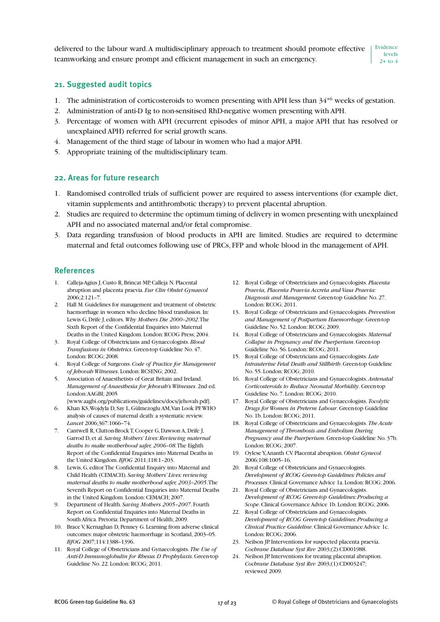delivered to the labour ward. A multidisciplinary approach to treatment should promote effective teamworking and ensure prompt and efficient management in such an emergency. Evidence levels  $2+$  to 4

#### **21. Suggested audit topics**

- 1. The administration of corticosteroids to women presenting with APH less than  $34^{+6}$  weeks of gestation.
- 2. Administration of anti-D Ig to non-sensitised RhD-negative women presenting with APH.
- 3. Percentage of women with APH (recurrent episodes of minor APH, a major APH that has resolved or unexplained APH) referred for serial growth scans.
- 4. Management of the third stage of labour in women who had a major APH.
- 5. Appropriate training of the multidisciplinary team.

#### **22. Areas for future research**

- 1. Randomised controlled trials of sufficient power are required to assess interventions (for example diet, vitamin supplements and antithrombotic therapy) to prevent placental abruption.
- 2. Studies are required to determine the optimum timing of delivery in women presenting with unexplained APH and no associated maternal and/or fetal compromise.
- 3. Data regarding transfusion of blood products in APH are limited. Studies are required to determine maternal and fetal outcomes following use of PRCs, FFP and whole blood in the management of APH.

#### **References**

- 1. Calleja-Agius J, Custo R, Brincat MP, Calleja N. Placental abruption and placenta praevia. *Eur Clin Obstet Gynaecol* 2006;2:121–7.
- 2. Hall M. Guidelines for management and treatment of obstetric haemorrhage in women who decline blood transfusion. In: Lewis G, Drife J, editors. *Why Mothers Die 2000–2002*. The Sixth Report of the Confidential Enquiries into Maternal Deaths in the United Kingdom. London: RCOG Press; 2004.
- 3. Royal College of Obstetricians and Gynaecologists. *Blood Transfusions in Obstetrics*. Green-top Guideline No. 47. London: RCOG; 2008.
- 4. Royal College of Surgeons. *Code of Practice for Management of Jehovah Witnesses*. London: RCSENG; 2002.
- 5. Association of Anaesthetists of Great Britain and Ireland. *Management of Anaesthesia for Jehovah's Witnesses*. 2nd ed. London: AAGBI; 2005
- [www.aagbi.org/publications/guidelines/docs/jehovah.pdf]. 6. Khan KS, Wojdyla D, Say L, Gülmezoglu AM, Van Look PF. WHO analysis of causes of maternal death: a systematic review. *Lancet* 2006;367:1066–74.
- 7. Cantwell R, Clutton-Brock T, Cooper G, Dawson A, Drife J, Garrod D, et al. *Saving Mothers' Lives: Reviewing maternal deaths to make motherhood safer, 2006–08*. The Eighth Report of the Confidential Enquiries into Maternal Deaths in the United Kingdom. *BJOG* 2011;118:1–203.
- 8. Lewis, G, editor. The Confidential Enquiry into Maternal and Child Health (CEMACH). *Saving Mothers' Lives: reviewing maternal deaths to make motherhood safer, 2003–2005*. The Seventh Report on Confidential Enquiries into Maternal Deaths in the United Kingdom. London: CEMACH; 2007.
- 9. Department of Health. *Saving Mothers 2005–2007*. Fourth Report on Confidential Enquiries into Maternal Deaths in South Africa. Pretoria: Department of Health; 2009.
- 10. Brace V, Kernaghan D, Penney G. Learning from adverse clinical outcomes: major obstetric haemorrhage in Scotland, 2003–05. *BJOG* 2007;114:1388–1396.
- 11. Royal College of Obstetricians and Gynaecologists. *The Use of Anti-D Immunoglobulin for Rhesus D Prophylaxis*. Green-top Guideline No. 22. London: RCOG; 2011.
- 12. Royal College of Obstetricians and Gynaecologists. *Placenta Praevia, Placenta Praevia Accreta and Vasa Praevia: Diagnosis and Management*. Green-top Guideline No. 27. London: RCOG; 2011.
- 13. Royal College of Obstetricians and Gynaecologists. *Prevention and Management of Postpartum Haemorrhage*. Green-top Guideline No. 52. London: RCOG; 2009.
- 14. Royal College of Obstetricians and Gynaecologists. *Maternal Collapse in Pregnancy and the Puerperium*. Green-top Guideline No. 56. London: RCOG; 2011.
- 15. Royal College of Obstetricians and Gynaecologists. *Late Intrauterine Fetal Death and Stillbirth*. Green-top Guideline No. 55. London: RCOG; 2010.
- 16. Royal College of Obstetricians and Gynaecologists. *Antenatal Corticosteroids to Reduce Neonatal Morbidity*. Green-top Guideline No. 7. London: RCOG; 2010.
- 17. Royal College of Obstetricians and Gynaecologists. *Tocolytic Drugs for Women in Preterm Labour*. Green-top Guideline No. 1b. London: RCOG; 2011.
- 18. Royal College of Obstetricians and Gynaecologists. *The Acute Management of Thrombosis and Embolism During Pregnancy and the Puerperium*. Green-top Guideline No. 37b. London: RCOG; 2007.
- 19. Oylese Y, Ananth CV. Placental abruption. *Obstet Gynecol* 2006;108:1005–16.
- 20. Royal College of Obstetricians and Gynaecologists. *Development of RCOG Green-top Guidelines: Policies and Processes*. Clinical Governance Advice 1a. London: RCOG; 2006.
- 21. Royal College of Obstetricians and Gynaecologists. *Development of RCOG Green-top Guidelines: Producing a Scope*. Clinical Governance Advice 1b. London: RCOG; 2006.
- 22. Royal College of Obstetricians and Gynaecologists. *Development of RCOG Green-top Guidelines: Producing a Clinical Practice Guideline*. Clinical Governance Advice 1c. London: RCOG; 2006.
- 23. Neilson JP. Interventions for suspected placenta praevia. *Cochrane Database Syst Rev* 2003;(2):CD001988.
- 24. Neilson JP. Interventions for treating placental abruption. *Cochrane Database Syst Rev* 2003;(1):CD003247; reviewed 2009.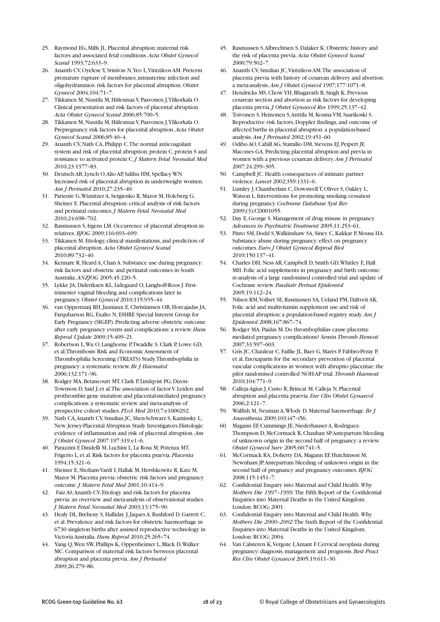- 25. Raymond EG, Mills JL. Placental abruption: maternal risk factors and associated fetal conditions. *Acta Obstet Gynecol Scand* 1993;72:633–9.
- 26. Ananth CV, Oyelese Y, Srinivas N, Yeo L, Vintzileos AM. Preterm premature rupture of membranes, intrauterine infection and oligohydramnios: risk factors for placental abruption. *Obstet Gynecol* 2004;104:71–7.
- 27. Tikkanen M, Nuutila M, Hiilesmaa V, Paavonen J, Ylikorkala O. Clinical presentation and risk factors of placental abruption. *Acta Obstet Gynecol Scand* 2006;85:700–5.
- 28. Tikkanen M, Nuutila M, Hiilesmaa V, Paavonen J, Ylikorkala O. Prepregnancy risk factors for placental abruption. *Acta Obstet Gynecol Scand* 2006;85:40–4.
- 29. Ananth CV, Nath CA, Philipp C. The normal anticoagulant system and risk of placental abruption: protein C, protein S and resistance to activated protein C. *J Matern Fetal Neonatal Med* 2010;23:1377–83.
- 30. Deutsch AB, Lynch O, Alio AP, Salihu HM, Spellacy WN. Increased risk of placental abruption in underweight women. *Am J Perinatol* 2010;27:235–40.
- 31. Pariente G, Wiznitzer A, Sergienko R, Mazor M, Holcberg G, Sheiner E. Placental abruption: critical analysis of risk factors and perinatal outcomes. *J Matern Fetal Neonatal Med* 2010;24:698–702.
- 32. Rasmussen S, Irgens LM. Occurrence of placental abruption in relatives. *BJOG* 2009;116:693–699.
- 33. Tikkanen M. Etiology, clinical manifestations, and prediction of placental abruption. *Acta Obstet Gynecol Scand* 2010;89:732–40.
- 34. Kennare R, Heard A, Chan A. Substance use during pregnancy: risk factors and obstetric and perinatal outcomes in South Australia. *ANZJOG* 2005;45:220–5.
- 35. Lykke JA, Dideriksen KL, Lidegaard O, Langhoff-Roos J. Firsttrimester vaginal bleeding and complications later in pregnancy. *Obstet Gynecol* 2010;115:935–44.
- 36. van Oppenraaij RH, Jauniaux E, Christiansen OB, Horcajadas JA, Farquharson RG, Exalto N; ESHRE Special Interest Group for Early Pregnancy (SIGEP). Predicting adverse obstetric outcome after early pregnancy events and complications: a review. *Hum Reprod Update* 2009;15:409–21.
- 37. Robertson L, Wu O, Langhorne P, Twaddle S, Clark P, Lowe GD, et al; Thrombosis: Risk and Economic Assessment of Thrombophilia Screening (TREATS) Study. Thrombophilia in pregnancy: a systematic review. *Br J Haematol* 2006;132:171–96.
- 38. Rodger MA, Betancourt MT, Clark P, Lindqvist PG, Dizon-Townson D, Said J, et al. The association of factor V Leiden and prothrombin gene mutation and placental-mediated pregnancy complications: a systematic review and meta-analysis of prospective cohort studies. *PLoS Med* 2010;7:e1000292.
- 39. Nath CA, Ananth CV, Smulian JC, Shen-Schwarz S, Kaminsky L; New Jersey-Placental Abruption Study Investigators.Histologic evidence of inflammation and risk of placental abruption. *Am J Obstet Gynecol* 2007:197:319.e1–6.
- 40. Parazzini F, Dindelli M, Luchini L, La Rosa M, Potenza MT, Frigerio L, et al. Risk factors for placenta praevia. *Placenta* 1994;15:321–6.
- 41. Sheiner E, Shoham-Vardi I, Hallak M, Hershkowitz R, Katz M, Mazor M. Placenta previa: obstetric risk factors and pregnancy outcome. *J Matern Fetal Med* 2001;10:414–9.
- 42. Faiz AS, Ananth CV. Etiology and risk factors for placenta previa: an overview and meta-analysis of observational studies. *J Matern Fetal Neonatal Med* 2003;13:175–90.
- 43. Healy DL, Breheny S, Halliday J, Jaques A, Rushford D, Garrett C, et al. Prevalence and risk factors for obstetric haemorrhage in 6730 singleton births after assisted reproductive technology in Victoria Australia. *Hum Reprod* 2010;25:265–74.
- 44. Yang Q, Wen SW, Phillips K, Oppenheimer L, Black D, Walker MC. Comparison of maternal risk factors between placental abruption and placenta previa. *Am J Perinatol* 2009;26:279–86.
- 45. Rasmussen S, Albrechtsen S, Dalaker K. Obstetric history and the risk of placenta previa. *Acta Obstet Gynecol Scand* 2000;79:502–7.
- 46. Ananth CV, Smulian JC, Vintzileos AM. The association of placenta previa with history of cesarean delivery and abortion: a meta-analysis. *Am J Obstet Gynecol* 1997;177:1071–8.
- 47. Hendricks MS, Chow YH, Bhagavath B, Singh K. Previous cesarean section and abortion as risk factors for developing placenta previa. *J Obstet Gynaecol Res* 1999;25:137–42.
- 48. Toivonen S, Heinonen S, Anttila M, Kosma VM, Saarikoski S. Reproductive risk factors, Doppler findings, and outcome of affected births in placental abruption: a population-based analysis. *Am J Perinatol* 2002;19:451–60.
- 49. Odibo AO, Cahill AG, Stamilio DM, Stevens EJ, Peipert JF, Macones GA. Predicting placental abruption and previa in women with a previous cesarean delivery. *Am J Perinatol* 2007;24:299–305.
- 50. Campbell JC. Health consequences of intimate partner violence. *Lancet* 2002;359:1331–6.
- 51. Lumley J, Chamberlain C, Dowswell T, Oliver S, Oakley L, Watson L. Interventions for promoting smoking cessation during pregnancy. *Cochrane Database Syst Rev* 2009;(3):CD001055.
- 52. Day E, George S. Management of drug misuse in pregnancy. *Advances in Psychiatric Treatment* 2005;11:253–61.
- 53. Pinto SM, Dodd S, Walkinshaw SA, Siney C, Kakkar P, Mousa HA. Substance abuse during pregnancy: effect on pregnancy outcomes. *Euro J Obstet Gynecol Reprod Biol* 2010;150:137–41.
- 54. Charles DH, Ness AR, Campbell D, Smith GD, Whitley E, Hall MH. Folic acid supplements in pregnancy and birth outcome: re-analysis of a large randomised controlled trial and update of Cochrane review. *Paediatr Perinat Epidemiol* 2005;19:112–24.
- 55. Nilsen RM, Vollset SE, Rasmussen SA, Ueland PM, Daltveit AK. Folic acid and multivitamin supplement use and risk of placental abruption: a population-based registry study. *Am J Epidemiol* 2008;167:867–74.
- 56. Rodger MA, Paidas M. Do thrombophilias cause placentamediated pregnancy complications? *Semin Thromb Hemost* 2007;33:597–603.
- 57. Gris JC, Chauleur C, Faillie JL, Baer G, Marès P, Fabbro-Peray P, et al. Enoxaparin for the secondary prevention of placental vascular complications in women with abruptio placentae: the pilot randomised controlled NOH-AP trial. *Thromb Haemost* 2010;104:771–9.
- 58. Calleja-Agius J, Custo R, Brincat M, Calleja N. Placental abruption and placenta praevia. *Eur Clin Obstet Gynaecol* 2006;2:121–7.
- 59. Walfish M, Neuman A, Wlody D. Maternal haemorrhage. *Br J Anaesthesia* 2009;103:i47–i56.
- 60. Magann EF, Cummings JE, Niederhauser A, Rodriguez-Thompson D, McCormack R, Chauhan SP. Antepartum bleeding of unknown origin in the second half of pregnancy: a review. *Obstet Gynecol Surv* 2005;60:741–5.
- 61. McCormack RA, Doherty DA, Magann EF, Hutchinson M, Newnham JP. Antepartum bleeding of unknown origin in the second half of pregnancy and pregnancy outcomes. *BJOG* 2008;115:1451–7.
- 62. Confidential Enquiry into Maternal and Child Health. *Why Mothers Die 1997–1999.*The Fifth Report of the Confidential Enquiries into Maternal Deaths in the United Kingdom. London: RCOG; 2001.
- 63. Confidential Enquiry into Maternal and Child Health. *Why Mothers Die 2000–2002*. The Sixth Report of the Confidential Enquiries into Maternal Deaths in the United Kingdom. London: RCOG; 2004.
- 64. Van Calsteren K, Vergote I, Amant F. Cervical neoplasia during pregnancy: diagnosis, management and prognosis. *Best Pract Res Clin Obstet Gynaecol* 2005;19:611–30.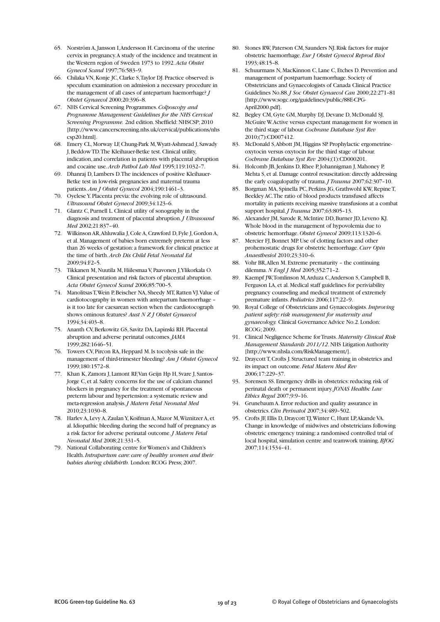- 65. Norström A, Jansson I, Andersson H. Carcinoma of the uterine cervix in pregnancy. A study of the incidence and treatment in the Western region of Sweden 1973 to 1992. *Acta Obstet Gynecol Scand* 1997;76:583–9.
- 66. Chilaka VN, Konje JC, Clarke S, Taylor DJ. Practice observed: is speculum examination on admission a necessary procedure in the management of all cases of antepartum haemorrhage? *J Obstet Gynaecol* 2000;20:396–8.
- 67. NHS Cervical Screening Programmes. *Colposcopy and Programme Management: Guidelines for the NHS Cervical Screening Programme.* 2nd edition. Sheffield: NHSCSP; 2010 [http://www.cancerscreening.nhs.uk/cervical/publications/nhs csp20.html].
- 68. Emery CL, Morway LF, Chung-Park M, Wyatt-Ashmead J, Sawady J, Beddow TD. The Kleihauer-Betke test. Clinical utility, indication, and correlation in patients with placental abruption and cocaine use. *Arch Pathol Lab Med* 1995;119:1032–7.
- 69. Dhanraj D, Lambers D. The incidences of positive Kleihauer-Betke test in low-risk pregnancies and maternal trauma patients. *Am J Obstet Gynecol* 2004;190:1461–3.
- 70. Oyelese Y. Placenta previa: the evolving role of ultrasound. *Ultrasound Obstet Gynecol* 2009;34:123–6.
- 71. Glantz C, Purnell L. Clinical utility of sonography in the diagnosis and treatment of placental abruption. *J Ultrasound Med* 2002;21:837–40.
- 72. Wilkinson AR, Ahluwalia J, Cole A, Crawford D, Fyle J, Gordon A, et al. Management of babies born extremely preterm at less than 26 weeks of gestation: a framework for clinical practice at the time of birth. *Arch Dis Child Fetal Neonatal Ed* 2009;94:F2–5.
- 73. Tikkanen M, Nuutila M, Hiilesmaa V, Paavonen J, Ylikorkala O. Clinical presentation and risk factors of placental abruption. *Acta Obstet Gynecol Scand* 2006;85:700–5.
- 74. Manolitsas T, Wein P, Beischer NA, Sheedy MT, Ratten VJ. Value of cardiotocography in women with antepartum haemorrhage – is it too late for caesarean section when the cardiotocograph shows ominous features? *Aust N Z J Obstet Gynaecol* 1994;34:403–8.
- 75. Ananth CV, Berkowitz GS, Savitz DA, Lapinski RH. Placental abruption and adverse perinatal outcomes. *JAMA* 1999;282:1646–51.
- 76. Towers CV, Pircon RA, Heppard M. Is tocolysis safe in the management of third-trimester bleeding? *Am J Obstet Gynecol* 1999;180:1572–8.
- 77. Khan K, Zamora J, Lamont RF, Van Geijn Hp H, Svare J, Santos-Jorge C, et al. Safety concerns for the use of calcium channel blockers in pregnancy for the treatment of spontaneous preterm labour and hypertension: a systematic review and meta-regression analysis. *J Matern Fetal Neonatal Med* 2010;23:1030–8.
- 78. Harlev A, Levy A, Zaulan Y, Koifman A, Mazor M, Wiznitzer A, et al. Idiopathic bleeding during the second half of pregnancy as a risk factor for adverse perinatal outcome. *J Matern Fetal Neonatal Med* 2008;21:331–5.
- 79. National Collaborating centre for Women's and Children's Health. *Intrapartum care: care of healthy women and their babies during childbirth.* London: RCOG Press; 2007.
- 80. Stones RW, Paterson CM, Saunders NJ. Risk factors for major obstetric haemorrhage. *Eur J Obstet Gynecol Reprod Biol* 1993;48:15–8.
- 81. Schuurmans N, MacKinnon C, Lane C, Etches D. Prevention and management of postpartum haemorrhage. Society of Obstetricians and Gynaecologists of Canada Clinical Practice Guidelines No.88. *J Soc Obstet Gynaecol Can* 2000;22:271–81 [http://www.sogc.org/guidelines/public/88E-CPG-April2000.pdf].
- 82. Begley CM, Gyte GM, Murphy DJ, Devane D, McDonald SJ, McGuire W. Active versus expectant management for women in the third stage of labour. *Cochrane Database Syst Rev* 2010;(7):CD007412.
- 83. McDonald S, Abbott JM, Higgins SP. Prophylactic ergometrineoxytocin versus oxytocin for the third stage of labour. *Cochrane Database Syst Rev* 2004;(1):CD000201.
- 84. Holcomb JB, Jenkins D, Rhee P, Johannigman J, Mahoney P, Mehta S, et al. Damage control resuscitation: directly addressing the early coagulopathy of trauma. *J Trauma* 2007;62:307–10.
- 85. Borgman MA, Spinella PC, Perkins JG, Grathwohl KW, Repine T, Beekley AC. The ratio of blood products transfused affects mortality in patients receiving massive transfusions at a combat support hospital. *J Trauma* 2007;63:805–13.
- 86. Alexander JM, Sarode R, McIntire DD, Burner JD, Leveno KJ. Whole blood in the management of hypovolemia due to obstetric hemorrhage. *Obstet Gynecol* 2009;113:1320–6.
- 87. Mercier FJ, Bonnet MP. Use of clotting factors and other prohemostatic drugs for obstetric hemorrhage. *Curr Opin Anaesthesiol* 2010;23:310–6.
- 88. Vohr BR, Allen M. Extreme prematurity the continuing dilemma. *N Engl J Med* 2005;352:71–2.
- 89. Kaempf JW, Tomlinson M, Arduza C, Anderson S, Campbell B, Ferguson LA, et al. Medical staff guidelines for periviability pregnancy counseling and medical treatment of extremely premature infants. *Pediatrics* 2006;117;22–9.
- 90. Royal College of Obstetricians and Gynaecologists. *Improving patient safety: risk management for maternity and gynaecology.* Clinical Governance Advice No.2. London: RCOG; 2009.
- 91. Clinical Negligence Scheme for Trusts. *Maternity Clinical Risk Management Standards 2011/12*. NHS Litigation Authority [http://www.nhsla.com/RiskManagement/].
- 92. Draycott T, Crofts J. Structured team training in obstetrics and its impact on outcome. *Fetal Matern Med Rev* 2006;17:229–37.
- 93. Sorensen SS. Emergency drills in obstetrics: reducing risk of perinatal death or permanent injury. *JONAS Healthc Law Ethics Regul* 2007;9:9–16.
- 94. Grunebaum A. Error reduction and quality assurance in obstetrics. *Clin Perinatol* 2007;34:489–502.
- 95. Crofts JF, Ellis D, Draycott TJ, Winter C, Hunt LP, Akande VA. Change in knowledge of midwives and obstetricians following obstetric emergency training: a randomised controlled trial of local hospital, simulation centre and teamwork training. *BJOG* 2007;114:1534–41.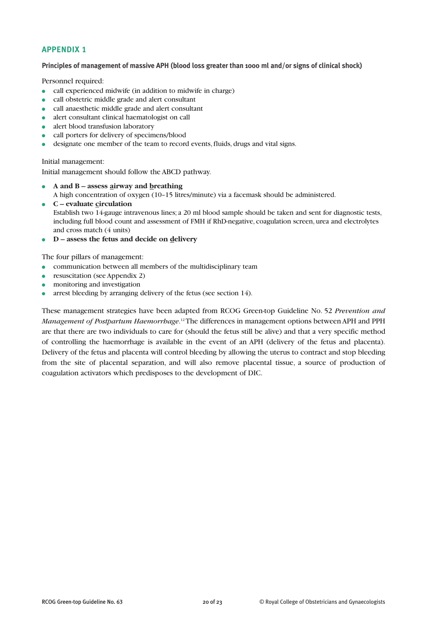# **APPENDIX 1**

**Principles of management of massive APH (blood loss greater than 1000 ml and/or signs of clinical shock)**

Personnel required:

- call experienced midwife (in addition to midwife in charge)
- call obstetric middle grade and alert consultant
- call anaesthetic middle grade and alert consultant
- alert consultant clinical haematologist on call
- alert blood transfusion laboratory
- call porters for delivery of specimens/blood
- designate one member of the team to record events, fluids, drugs and vital signs.

Initial management:

Initial management should follow the ABCD pathway.

- **A and B assess airway and breathing** A high concentration of oxygen (10–15 litres/minute) via a facemask should be administered.
- **C evaluate circulation** Establish two 14-gauge intravenous lines; a 20 ml blood sample should be taken and sent for diagnostic tests, including full blood count and assessment of FMH if RhD-negative, coagulation screen, urea and electrolytes and cross match (4 units)
- **D assess the fetus and decide on delivery**

The four pillars of management:

- communication between all members of the multidisciplinary team
- resuscitation (see Appendix 2)
- monitoring and investigation
- arrest bleeding by arranging delivery of the fetus (see section 14).

These management strategies have been adapted from RCOG Green-top Guideline No. 52 *Prevention and Management of Postpartum Haemorrhage*. 12The differences in management options between APH and PPH are that there are two individuals to care for (should the fetus still be alive) and that a very specific method of controlling the haemorrhage is available in the event of an APH (delivery of the fetus and placenta). Delivery of the fetus and placenta will control bleeding by allowing the uterus to contract and stop bleeding from the site of placental separation, and will also remove placental tissue, a source of production of coagulation activators which predisposes to the development of DIC.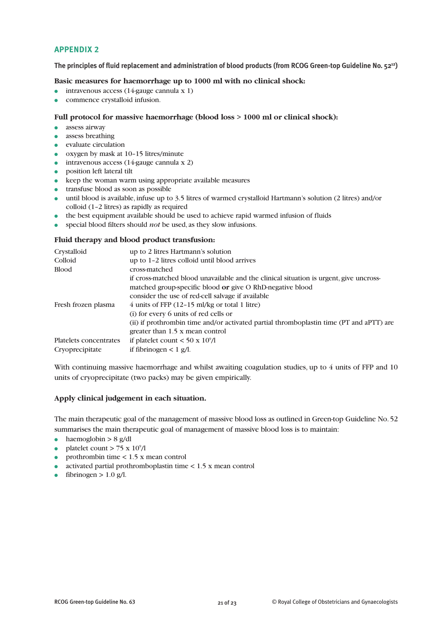#### **APPENDIX 2**

**The principles of fluid replacement and administration of blood products (from RCOG Green-top Guideline No. 5212)**

#### **Basic measures for haemorrhage up to 1000 ml with no clinical shock:**

- $\bullet$  intravenous access (14-gauge cannula x 1)
- commence crystalloid infusion.

#### **Full protocol for massive haemorrhage (blood loss > 1000 ml or clinical shock):**

- assess airway
- assess breathing
- evaluate circulation
- oxygen by mask at 10–15 litres/minute
- $\bullet$  intravenous access (14-gauge cannula x 2)
- position left lateral tilt
- keep the woman warm using appropriate available measures
- transfuse blood as soon as possible
- until blood is available, infuse up to 3.5 litres of warmed crystalloid Hartmann's solution (2 litres) and/or colloid (1–2 litres) as rapidly as required
- the best equipment available should be used to achieve rapid warmed infusion of fluids
- special blood filters should *not* be used, as they slow infusions.

#### **Fluid therapy and blood product transfusion:**

| up to 2 litres Hartmann's solution                                                      |
|-----------------------------------------------------------------------------------------|
| up to 1-2 litres colloid until blood arrives                                            |
| cross-matched                                                                           |
| if cross-matched blood unavailable and the clinical situation is urgent, give uncross-  |
| matched group-specific blood or give O RhD-negative blood                               |
| consider the use of red-cell salvage if available                                       |
| $4$ units of FFP (12-15 ml/kg or total 1 litre)                                         |
| (i) for every 6 units of red cells or                                                   |
| (ii) if prothrombin time and/or activated partial thromboplastin time (PT and aPTT) are |
| greater than 1.5 x mean control                                                         |
| if platelet count $<$ 50 x 10 <sup>9</sup> /l                                           |
| if fibrinogen $< 1$ g/l.                                                                |
|                                                                                         |

With continuing massive haemorrhage and whilst awaiting coagulation studies, up to 4 units of FFP and 10 units of cryoprecipitate (two packs) may be given empirically.

#### **Apply clinical judgement in each situation.**

The main therapeutic goal of the management of massive blood loss as outlined in Green-top Guideline No. 52 summarises the main therapeutic goal of management of massive blood loss is to maintain:

- haemoglobin  $> 8$  g/dl
- platelet count  $> 75 \times 10^9/1$
- prothrombin time  $< 1.5$  x mean control
- $\bullet$  activated partial prothromboplastin time  $\lt 1.5$  x mean control
- fibrinogen  $> 1.0$  g/l.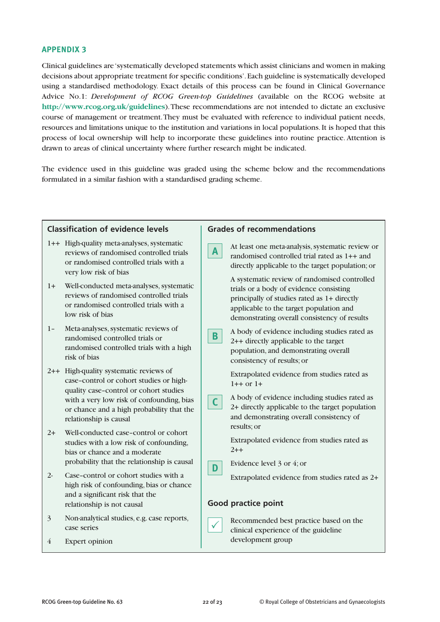#### **APPENDIX 3**

Clinical guidelines are 'systematically developed statements which assist clinicians and women in making decisions about appropriate treatment for specific conditions'. Each guideline is systematically developed using a standardised methodology. Exact details of this process can be found in Clinical Governance Advice No.1: *Development of RCOG Green-top Guidelines* (available on the RCOG website at **http://www.rcog.org.uk/guidelines**). These recommendations are not intended to dictate an exclusive course of management or treatment. They must be evaluated with reference to individual patient needs, resources and limitations unique to the institution and variations in local populations. It is hoped that this process of local ownership will help to incorporate these guidelines into routine practice. Attention is drawn to areas of clinical uncertainty where further research might be indicated.

The evidence used in this guideline was graded using the scheme below and the recommendations formulated in a similar fashion with a standardised grading scheme.